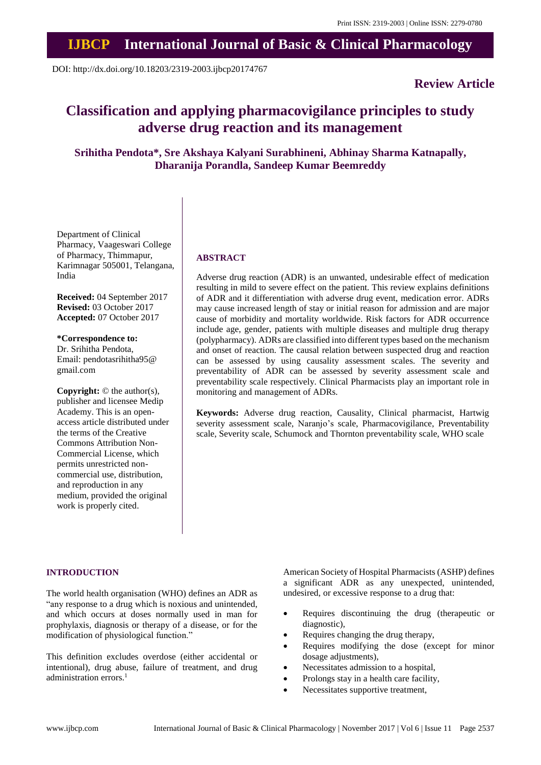# **IJBCP International Journal of Basic & Clinical Pharmacology**

DOI: http://dx.doi.org/10.18203/2319-2003.ijbcp20174767

# **Review Article**

# **Classification and applying pharmacovigilance principles to study adverse drug reaction and its management**

**Srihitha Pendota\*, Sre Akshaya Kalyani Surabhineni, Abhinay Sharma Katnapally, Dharanija Porandla, Sandeep Kumar Beemreddy**

Department of Clinical Pharmacy, Vaageswari College of Pharmacy, Thimmapur, Karimnagar 505001, Telangana, India

**Received:** 04 September 2017 **Revised:** 03 October 2017 **Accepted:** 07 October 2017

**\*Correspondence to:** Dr. Srihitha Pendota, Email: pendotasrihitha95@ gmail.com

**Copyright:** © the author(s), publisher and licensee Medip Academy. This is an openaccess article distributed under the terms of the Creative Commons Attribution Non-Commercial License, which permits unrestricted noncommercial use, distribution, and reproduction in any medium, provided the original work is properly cited.

#### **ABSTRACT**

Adverse drug reaction (ADR) is an unwanted, undesirable effect of medication resulting in mild to severe effect on the patient. This review explains definitions of ADR and it differentiation with adverse drug event, medication error. ADRs may cause increased length of stay or initial reason for admission and are major cause of morbidity and mortality worldwide. Risk factors for ADR occurrence include age, gender, patients with multiple diseases and multiple drug therapy (polypharmacy). ADRs are classified into different types based on the mechanism and onset of reaction. The causal relation between suspected drug and reaction can be assessed by using causality assessment scales. The severity and preventability of ADR can be assessed by severity assessment scale and preventability scale respectively. Clinical Pharmacists play an important role in monitoring and management of ADRs.

**Keywords:** Adverse drug reaction, Causality, Clinical pharmacist, Hartwig severity assessment scale, Naranjo's scale, Pharmacovigilance, Preventability scale, Severity scale, Schumock and Thornton preventability scale, WHO scale

#### **INTRODUCTION**

The world health organisation (WHO) defines an ADR as "any response to a drug which is noxious and unintended, and which occurs at doses normally used in man for prophylaxis, diagnosis or therapy of a disease, or for the modification of physiological function."

This definition excludes overdose (either accidental or intentional), drug abuse, failure of treatment, and drug administration errors. 1

American Society of Hospital Pharmacists (ASHP) defines a significant ADR as any unexpected, unintended, undesired, or excessive response to a drug that:

- Requires discontinuing the drug (therapeutic or diagnostic),
- Requires changing the drug therapy,
- Requires modifying the dose (except for minor dosage adjustments),
- Necessitates admission to a hospital,
- Prolongs stay in a health care facility,
- Necessitates supportive treatment,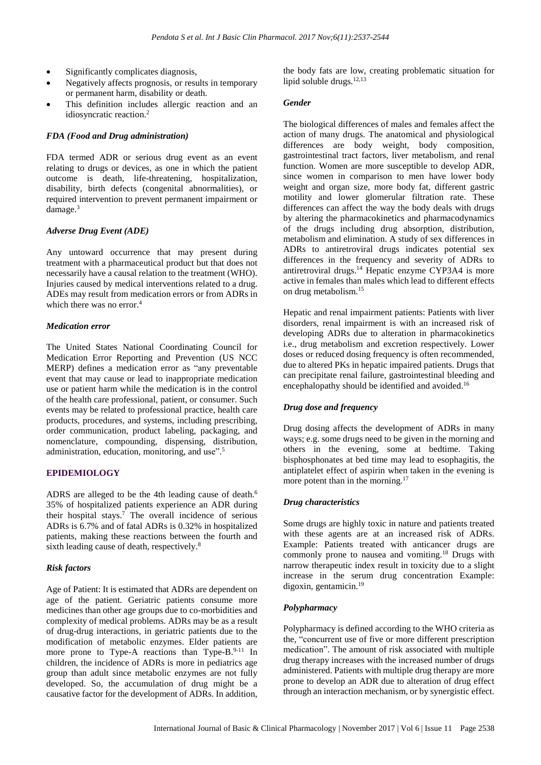- Significantly complicates diagnosis,
- Negatively affects prognosis, or results in temporary or permanent harm, disability or death.
- This definition includes allergic reaction and an idiosyncratic reaction. 2

#### *FDA (Food and Drug administration)*

FDA termed ADR or serious drug event as an event relating to drugs or devices, as one in which the patient outcome is death, life-threatening, hospitalization, disability, birth defects (congenital abnormalities), or required intervention to prevent permanent impairment or damage.<sup>3</sup>

#### *Adverse Drug Event (ADE)*

Any untoward occurrence that may present during treatment with a pharmaceutical product but that does not necessarily have a causal relation to the treatment (WHO). Injuries caused by medical interventions related to a drug. ADEs may result from medication errors or from ADRs in which there was no error. 4

#### *Medication error*

The United States National Coordinating Council for Medication Error Reporting and Prevention (US NCC MERP) defines a medication error as "any preventable event that may cause or lead to inappropriate medication use or patient harm while the medication is in the control of the health care professional, patient, or consumer. Such events may be related to professional practice, health care products, procedures, and systems, including prescribing, order communication, product labeling, packaging, and nomenclature, compounding, dispensing, distribution, administration, education, monitoring, and use".<sup>5</sup>

# **EPIDEMIOLOGY**

ADRS are alleged to be the 4th leading cause of death. 6 35% of hospitalized patients experience an ADR during their hospital stays. <sup>7</sup> The overall incidence of serious ADRs is 6.7% and of fatal ADRs is 0.32% in hospitalized patients, making these reactions between the fourth and sixth leading cause of death, respectively. 8

# *Risk factors*

Age of Patient: It is estimated that ADRs are dependent on age of the patient. Geriatric patients consume more medicines than other age groups due to co-morbidities and complexity of medical problems. ADRs may be as a result of drug-drug interactions, in geriatric patients due to the modification of metabolic enzymes. Elder patients are more prone to Type-A reactions than  $Type-B$ <sup>9-11</sup> In children, the incidence of ADRs is more in pediatrics age group than adult since metabolic enzymes are not fully developed. So, the accumulation of drug might be a causative factor for the development of ADRs. In addition,

the body fats are low, creating problematic situation for lipid soluble drugs.<sup>12,13</sup>

#### *Gender*

The biological differences of males and females affect the action of many drugs. The anatomical and physiological differences are body weight, body composition, gastrointestinal tract factors, liver metabolism, and renal function. Women are more susceptible to develop ADR, since women in comparison to men have lower body weight and organ size, more body fat, different gastric motility and lower glomerular filtration rate. These differences can affect the way the body deals with drugs by altering the pharmacokinetics and pharmacodynamics of the drugs including drug absorption, distribution, metabolism and elimination. A study of sex differences in ADRs to antiretroviral drugs indicates potential sex differences in the frequency and severity of ADRs to antiretroviral drugs. <sup>14</sup> Hepatic enzyme CYP3A4 is more active in females than males which lead to different effects on drug metabolism. 15

Hepatic and renal impairment patients: Patients with liver disorders, renal impairment is with an increased risk of developing ADRs due to alteration in pharmacokinetics i.e., drug metabolism and excretion respectively. Lower doses or reduced dosing frequency is often recommended. due to altered PKs in hepatic impaired patients. Drugs that can precipitate renal failure, gastrointestinal bleeding and encephalopathy should be identified and avoided.<sup>16</sup>

# *Drug dose and frequency*

Drug dosing affects the development of ADRs in many ways; e.g. some drugs need to be given in the morning and others in the evening, some at bedtime. Taking bisphosphonates at bed time may lead to esophagitis, the antiplatelet effect of aspirin when taken in the evening is more potent than in the morning.<sup>17</sup>

# *Drug characteristics*

Some drugs are highly toxic in nature and patients treated with these agents are at an increased risk of ADRs. Example: Patients treated with anticancer drugs are commonly prone to nausea and vomiting. <sup>18</sup> Drugs with narrow therapeutic index result in toxicity due to a slight increase in the serum drug concentration Example: digoxin, gentamicin.<sup>19</sup>

# *Polypharmacy*

Polypharmacy is defined according to the WHO criteria as the, "concurrent use of five or more different prescription medication". The amount of risk associated with multiple drug therapy increases with the increased number of drugs administered. Patients with multiple drug therapy are more prone to develop an ADR due to alteration of drug effect through an interaction mechanism, or by synergistic effect.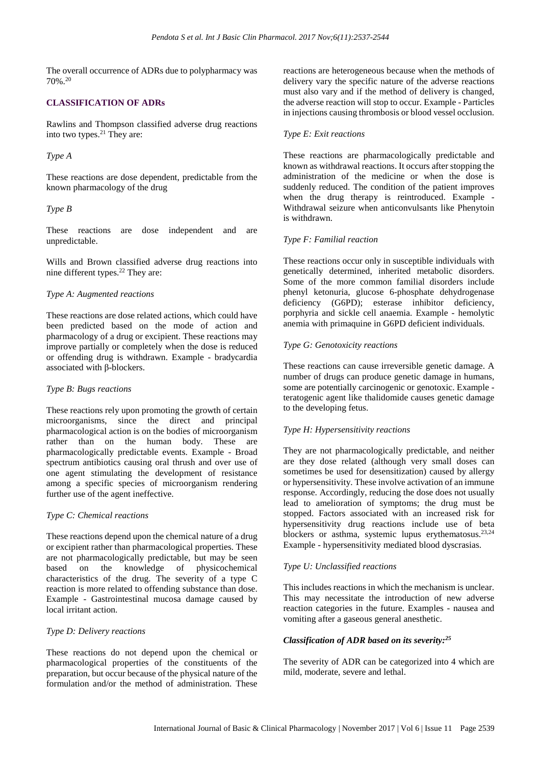The overall occurrence of ADRs due to polypharmacy was 70%. 20

# **CLASSIFICATION OF ADRs**

Rawlins and Thompson classified adverse drug reactions into two types. <sup>21</sup> They are:

# *Type A*

These reactions are dose dependent, predictable from the known pharmacology of the drug

#### *Type B*

These reactions are dose independent and are unpredictable.

Wills and Brown classified adverse drug reactions into nine different types. <sup>22</sup> They are:

### *Type A: Augmented reactions*

These reactions are dose related actions, which could have been predicted based on the mode of action and pharmacology of a drug or excipient. These reactions may improve partially or completely when the dose is reduced or offending drug is withdrawn. Example - bradycardia associated with β-blockers.

#### *Type B: Bugs reactions*

These reactions rely upon promoting the growth of certain microorganisms, since the direct and principal pharmacological action is on the bodies of microorganism rather than on the human body. These are pharmacologically predictable events. Example - Broad spectrum antibiotics causing oral thrush and over use of one agent stimulating the development of resistance among a specific species of microorganism rendering further use of the agent ineffective.

#### *Type C: Chemical reactions*

These reactions depend upon the chemical nature of a drug or excipient rather than pharmacological properties. These are not pharmacologically predictable, but may be seen based on the knowledge of physicochemical characteristics of the drug. The severity of a type C reaction is more related to offending substance than dose. Example - Gastrointestinal mucosa damage caused by local irritant action.

# *Type D: Delivery reactions*

These reactions do not depend upon the chemical or pharmacological properties of the constituents of the preparation, but occur because of the physical nature of the formulation and/or the method of administration. These

reactions are heterogeneous because when the methods of delivery vary the specific nature of the adverse reactions must also vary and if the method of delivery is changed, the adverse reaction will stop to occur. Example - Particles in injections causing thrombosis or blood vessel occlusion.

#### *Type E: Exit reactions*

These reactions are pharmacologically predictable and known as withdrawal reactions. It occurs after stopping the administration of the medicine or when the dose is suddenly reduced. The condition of the patient improves when the drug therapy is reintroduced. Example - Withdrawal seizure when anticonvulsants like Phenytoin is withdrawn.

# *Type F: Familial reaction*

These reactions occur only in susceptible individuals with genetically determined, inherited metabolic disorders. Some of the more common familial disorders include phenyl ketonuria, glucose 6-phosphate dehydrogenase deficiency (G6PD); esterase inhibitor deficiency, porphyria and sickle cell anaemia. Example - hemolytic anemia with primaquine in G6PD deficient individuals.

# *Type G: Genotoxicity reactions*

These reactions can cause irreversible genetic damage. A number of drugs can produce genetic damage in humans, some are potentially carcinogenic or genotoxic. Example teratogenic agent like thalidomide causes genetic damage to the developing fetus.

#### *Type H: Hypersensitivity reactions*

They are not pharmacologically predictable, and neither are they dose related (although very small doses can sometimes be used for desensitization) caused by allergy or hypersensitivity. These involve activation of an immune response. Accordingly, reducing the dose does not usually lead to amelioration of symptoms; the drug must be stopped. Factors associated with an increased risk for hypersensitivity drug reactions include use of beta blockers or asthma, systemic lupus erythematosus.<sup>23,24</sup> Example - hypersensitivity mediated blood dyscrasias.

# *Type U: Unclassified reactions*

This includes reactions in which the mechanism is unclear. This may necessitate the introduction of new adverse reaction categories in the future. Examples - nausea and vomiting after a gaseous general anesthetic.

#### *Classification of ADR based on its severity: 25*

The severity of ADR can be categorized into 4 which are mild, moderate, severe and lethal.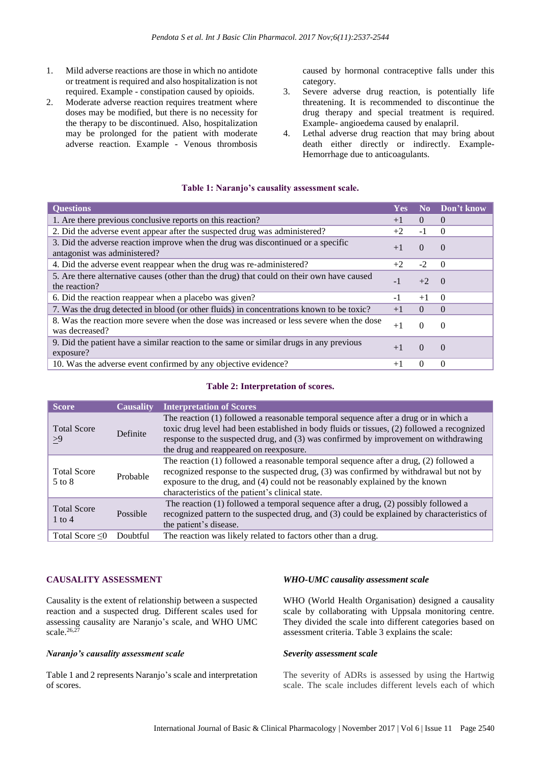- 1. Mild adverse reactions are those in which no antidote or treatment is required and also hospitalization is not required. Example - constipation caused by opioids.
- 2. Moderate adverse reaction requires treatment where doses may be modified, but there is no necessity for the therapy to be discontinued. Also, hospitalization may be prolonged for the patient with moderate adverse reaction. Example - Venous thrombosis

caused by hormonal contraceptive falls under this category.

- 3. Severe adverse drug reaction, is potentially life threatening. It is recommended to discontinue the drug therapy and special treatment is required. Example- angioedema caused by enalapril.
- 4. Lethal adverse drug reaction that may bring about death either directly or indirectly. Example-Hemorrhage due to anticoagulants.

### **Table 1: Naranjo's causality assessment scale.**

| <b>Questions</b>                                                                                                 | Yes  | N <sub>0</sub> | Don't know |
|------------------------------------------------------------------------------------------------------------------|------|----------------|------------|
| 1. Are there previous conclusive reports on this reaction?                                                       | $+1$ | $\Omega$       | $\Omega$   |
| 2. Did the adverse event appear after the suspected drug was administered?                                       | $+2$ | $-1$           | $\theta$   |
| 3. Did the adverse reaction improve when the drug was discontinued or a specific<br>antagonist was administered? | $+1$ | $\Omega$       | $\Omega$   |
| 4. Did the adverse event reappear when the drug was re-administered?                                             | $+2$ | $-2$           | - 0        |
| 5. Are there alternative causes (other than the drug) that could on their own have caused<br>the reaction?       | $-1$ | $+2$           | $\bigcirc$ |
| 6. Did the reaction reappear when a placebo was given?                                                           | $-1$ | $+1$           | $\Omega$   |
| 7. Was the drug detected in blood (or other fluids) in concentrations known to be toxic?                         | $+1$ | $\Omega$       | $\Omega$   |
| 8. Was the reaction more severe when the dose was increased or less severe when the dose<br>was decreased?       | $+1$ | $\Omega$       | $\theta$   |
| 9. Did the patient have a similar reaction to the same or similar drugs in any previous<br>exposure?             | $+1$ | $\Omega$       | $\Omega$   |
| 10. Was the adverse event confirmed by any objective evidence?                                                   | $+1$ | 0              | $\Omega$   |

#### **Table 2: Interpretation of scores.**

| Score                            | <b>Causality</b> | <b>Interpretation of Scores</b>                                                                                                                                                                                                                                                                                    |
|----------------------------------|------------------|--------------------------------------------------------------------------------------------------------------------------------------------------------------------------------------------------------------------------------------------------------------------------------------------------------------------|
| <b>Total Score</b><br>>9         | Definite         | The reaction (1) followed a reasonable temporal sequence after a drug or in which a<br>toxic drug level had been established in body fluids or tissues, (2) followed a recognized<br>response to the suspected drug, and (3) was confirmed by improvement on withdrawing<br>the drug and reappeared on reexposure. |
| <b>Total Score</b><br>$5$ to $8$ | Probable         | The reaction (1) followed a reasonable temporal sequence after a drug, (2) followed a<br>recognized response to the suspected drug, (3) was confirmed by withdrawal but not by<br>exposure to the drug, and (4) could not be reasonably explained by the known<br>characteristics of the patient's clinical state. |
| <b>Total Score</b><br>$1$ to $4$ | Possible         | The reaction $(1)$ followed a temporal sequence after a drug, $(2)$ possibly followed a<br>recognized pattern to the suspected drug, and (3) could be explained by characteristics of<br>the patient's disease.                                                                                                    |
| Total Score $\leq 0$             | Doubtful         | The reaction was likely related to factors other than a drug.                                                                                                                                                                                                                                                      |

# **CAUSALITY ASSESSMENT**

Causality is the extent of relationship between a suspected reaction and a suspected drug. Different scales used for assessing causality are Naranjo's scale, and WHO UMC scale. 26,27

#### *Naranjo's causality assessment scale*

Table 1 and 2 represents Naranjo's scale and interpretation of scores.

# *WHO-UMC causality assessment scale*

WHO (World Health Organisation) designed a causality scale by collaborating with Uppsala monitoring centre. They divided the scale into different categories based on assessment criteria. Table 3 explains the scale:

#### *Severity assessment scale*

The severity of ADRs is assessed by using the Hartwig scale. The scale includes different levels each of which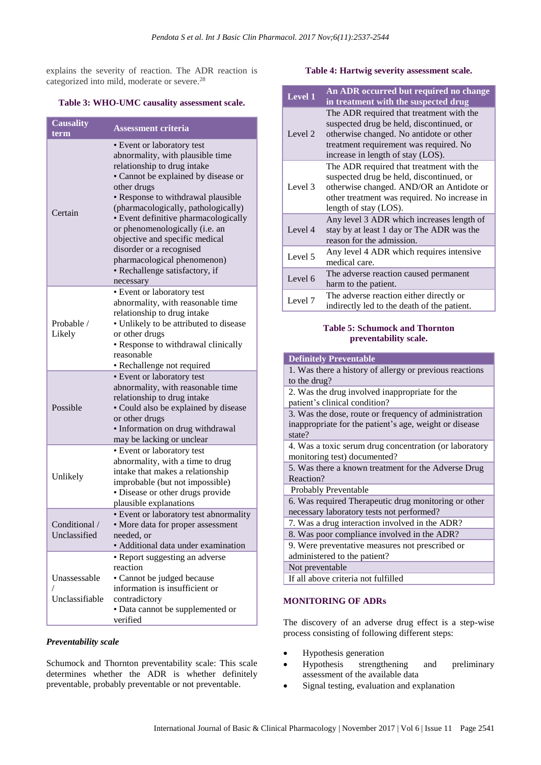explains the severity of reaction. The ADR reaction is categorized into mild, moderate or severe.<sup>28</sup>

### **Table 3: WHO-UMC causality assessment scale.**

| <b>Causality</b><br>term       | <b>Assessment criteria</b>                                                                                                                                                                                                                                                                                                                                                                                                                             |
|--------------------------------|--------------------------------------------------------------------------------------------------------------------------------------------------------------------------------------------------------------------------------------------------------------------------------------------------------------------------------------------------------------------------------------------------------------------------------------------------------|
| Certain                        | • Event or laboratory test<br>abnormality, with plausible time<br>relationship to drug intake<br>• Cannot be explained by disease or<br>other drugs<br>· Response to withdrawal plausible<br>(pharmacologically, pathologically)<br>· Event definitive pharmacologically<br>or phenomenologically (i.e. an<br>objective and specific medical<br>disorder or a recognised<br>pharmacological phenomenon)<br>· Rechallenge satisfactory, if<br>necessary |
| Probable /<br>Likely           | • Event or laboratory test<br>abnormality, with reasonable time<br>relationship to drug intake<br>• Unlikely to be attributed to disease<br>or other drugs<br>• Response to withdrawal clinically<br>reasonable<br>• Rechallenge not required                                                                                                                                                                                                          |
| Possible                       | • Event or laboratory test<br>abnormality, with reasonable time<br>relationship to drug intake<br>• Could also be explained by disease<br>or other drugs<br>· Information on drug withdrawal<br>may be lacking or unclear                                                                                                                                                                                                                              |
| Unlikely                       | • Event or laboratory test<br>abnormality, with a time to drug<br>intake that makes a relationship<br>improbable (but not impossible)<br>· Disease or other drugs provide<br>plausible explanations                                                                                                                                                                                                                                                    |
| Conditional /<br>Unclassified  | · Event or laboratory test abnormality<br>· More data for proper assessment<br>needed, or<br>· Additional data under examination                                                                                                                                                                                                                                                                                                                       |
| Unassessable<br>Unclassifiable | • Report suggesting an adverse<br>reaction<br>· Cannot be judged because<br>information is insufficient or<br>contradictory<br>• Data cannot be supplemented or<br>verified                                                                                                                                                                                                                                                                            |

#### *Preventability scale*

Schumock and Thornton preventability scale: This scale determines whether the ADR is whether definitely preventable, probably preventable or not preventable.

#### **Table 4: Hartwig severity assessment scale.**

| Level 1 | An ADR occurred but required no change<br>in treatment with the suspected drug                                                                                                                                 |
|---------|----------------------------------------------------------------------------------------------------------------------------------------------------------------------------------------------------------------|
| Level 2 | The ADR required that treatment with the<br>suspected drug be held, discontinued, or<br>otherwise changed. No antidote or other<br>treatment requirement was required. No<br>increase in length of stay (LOS). |
| Level 3 | The ADR required that treatment with the<br>suspected drug be held, discontinued, or<br>otherwise changed. AND/OR an Antidote or<br>other treatment was required. No increase in<br>length of stay (LOS).      |
| Level 4 | Any level 3 ADR which increases length of<br>stay by at least 1 day or The ADR was the<br>reason for the admission.                                                                                            |
| Level 5 | Any level 4 ADR which requires intensive<br>medical care.                                                                                                                                                      |
| Level 6 | The adverse reaction caused permanent<br>harm to the patient.                                                                                                                                                  |
| Level 7 | The adverse reaction either directly or<br>indirectly led to the death of the patient.                                                                                                                         |

### **Table 5: Schumock and Thornton preventability scale.**

# **MONITORING OF ADRs**

The discovery of an adverse drug effect is a step-wise process consisting of following different steps:

- Hypothesis generation
- Hypothesis strengthening and preliminary assessment of the available data
- Signal testing, evaluation and explanation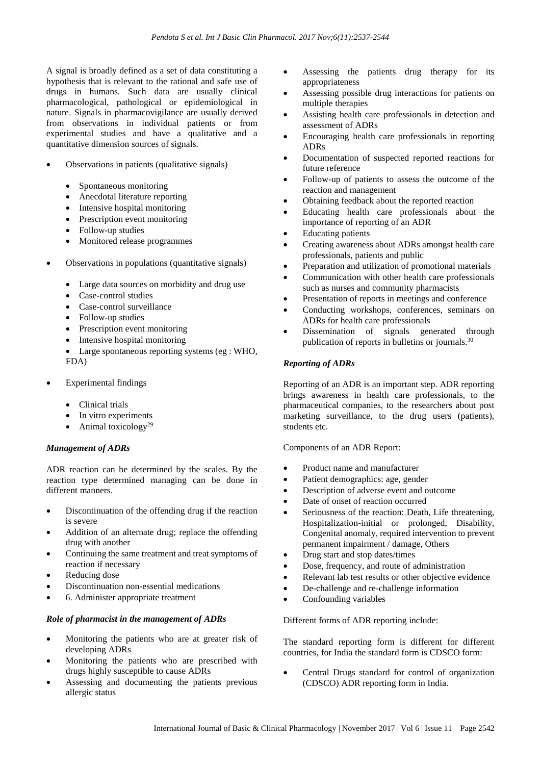A signal is broadly defined as a set of data constituting a hypothesis that is relevant to the rational and safe use of drugs in humans. Such data are usually clinical pharmacological, pathological or epidemiological in nature. Signals in pharmacovigilance are usually derived from observations in individual patients or from experimental studies and have a qualitative and a quantitative dimension sources of signals.

- Observations in patients (qualitative signals)
	- Spontaneous monitoring
	- Anecdotal literature reporting
	- Intensive hospital monitoring
	- Prescription event monitoring
	- Follow-up studies
	- Monitored release programmes
- Observations in populations (quantitative signals)
	- Large data sources on morbidity and drug use
	- Case-control studies
	- Case-control surveillance
	- Follow-up studies
	- Prescription event monitoring
	- Intensive hospital monitoring

• Large spontaneous reporting systems (eg : WHO, FDA)

- Experimental findings
	- Clinical trials
	- In vitro experiments
	- Animal toxicology<sup>29</sup>

# *Management of ADRs*

ADR reaction can be determined by the scales. By the reaction type determined managing can be done in different manners.

- Discontinuation of the offending drug if the reaction is severe
- Addition of an alternate drug; replace the offending drug with another
- Continuing the same treatment and treat symptoms of reaction if necessary
- Reducing dose
- Discontinuation non-essential medications
- 6. Administer appropriate treatment

# *Role of pharmacist in the management of ADRs*

- Monitoring the patients who are at greater risk of developing ADRs
- Monitoring the patients who are prescribed with drugs highly susceptible to cause ADRs
- Assessing and documenting the patients previous allergic status
- Assessing the patients drug therapy for its appropriateness
- Assessing possible drug interactions for patients on multiple therapies
- Assisting health care professionals in detection and assessment of ADRs
- Encouraging health care professionals in reporting ADRs
- Documentation of suspected reported reactions for future reference
- Follow-up of patients to assess the outcome of the reaction and management
- Obtaining feedback about the reported reaction
- Educating health care professionals about the importance of reporting of an ADR
- Educating patients
- Creating awareness about ADRs amongst health care professionals, patients and public
- Preparation and utilization of promotional materials
- Communication with other health care professionals such as nurses and community pharmacists
- Presentation of reports in meetings and conference
- Conducting workshops, conferences, seminars on ADRs for health care professionals
- Dissemination of signals generated through publication of reports in bulletins or journals.<sup>30</sup>

# *Reporting of ADRs*

Reporting of an ADR is an important step. ADR reporting brings awareness in health care professionals, to the pharmaceutical companies, to the researchers about post marketing surveillance, to the drug users (patients), students etc.

Components of an ADR Report:

- Product name and manufacturer
- Patient demographics: age, gender
- Description of adverse event and outcome
- Date of onset of reaction occurred
- Seriousness of the reaction: Death, Life threatening, Hospitalization-initial or prolonged, Disability, Congenital anomaly, required intervention to prevent permanent impairment / damage, Others
- Drug start and stop dates/times
- Dose, frequency, and route of administration
- Relevant lab test results or other objective evidence
- De-challenge and re-challenge information
- Confounding variables

Different forms of ADR reporting include:

The standard reporting form is different for different countries, for India the standard form is CDSCO form:

• Central Drugs standard for control of organization (CDSCO) ADR reporting form in India.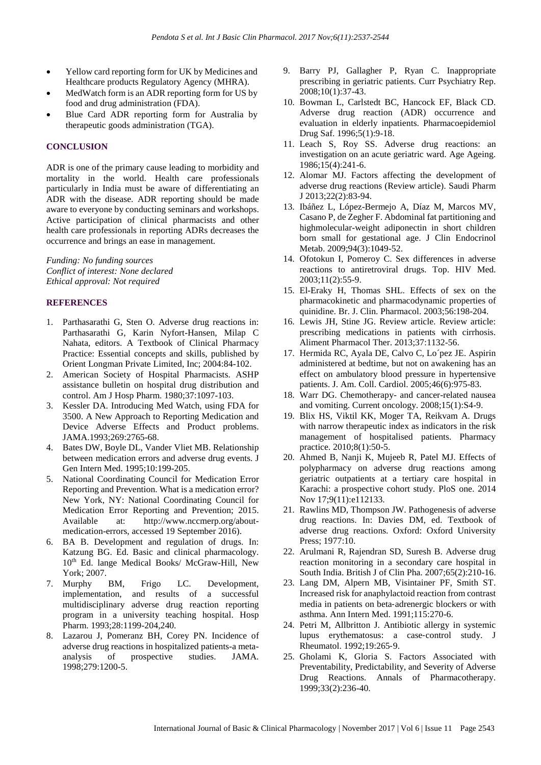- Yellow card reporting form for UK by Medicines and Healthcare products Regulatory Agency (MHRA).
- MedWatch form is an ADR reporting form for US by food and drug administration (FDA).
- Blue Card ADR reporting form for Australia by therapeutic goods administration (TGA).

# **CONCLUSION**

ADR is one of the primary cause leading to morbidity and mortality in the world. Health care professionals particularly in India must be aware of differentiating an ADR with the disease. ADR reporting should be made aware to everyone by conducting seminars and workshops. Active participation of clinical pharmacists and other health care professionals in reporting ADRs decreases the occurrence and brings an ease in management.

*Funding: No funding sources Conflict of interest: None declared Ethical approval: Not required*

# **REFERENCES**

- 1. Parthasarathi G, Sten O. Adverse drug reactions in: Parthasarathi G, Karin Nyfort-Hansen, Milap C Nahata, editors. A Textbook of Clinical Pharmacy Practice: Essential concepts and skills, published by Orient Longman Private Limited, Inc; 2004:84-102.
- 2. American Society of Hospital Pharmacists. ASHP assistance bulletin on hospital drug distribution and control. Am J Hosp Pharm. 1980;37:1097-103.
- 3. Kessler DA. Introducing Med Watch, using FDA for 3500. A New Approach to Reporting Medication and Device Adverse Effects and Product problems. JAMA.1993;269:2765-68.
- 4. Bates DW, Boyle DL, Vander Vliet MB. Relationship between medication errors and adverse drug events. J Gen Intern Med. 1995;10:199-205.
- 5. National Coordinating Council for Medication Error Reporting and Prevention. What is a medication error? New York, NY: National Coordinating Council for Medication Error Reporting and Prevention; 2015. Available at: http://www.nccmerp.org/aboutmedication-errors, accessed 19 September 2016).
- 6. BA B. Development and regulation of drugs. In: Katzung BG. Ed. Basic and clinical pharmacology. 10<sup>th</sup> Ed. lange Medical Books/ McGraw-Hill, New York; 2007.
- 7. Murphy BM, Frigo LC. Development, implementation, and results of a successful multidisciplinary adverse drug reaction reporting program in a university teaching hospital. Hosp Pharm. 1993;28:1199-204,240.
- 8. Lazarou J, Pomeranz BH, Corey PN. Incidence of adverse drug reactions in hospitalized patients-a metaanalysis of prospective studies. JAMA. 1998;279:1200-5.
- 9. Barry PJ, Gallagher P, Ryan C. Inappropriate prescribing in geriatric patients. Curr Psychiatry Rep. 2008;10(1):37-43.
- 10. Bowman L, Carlstedt BC, Hancock EF, Black CD. Adverse drug reaction (ADR) occurrence and evaluation in elderly inpatients. Pharmacoepidemiol Drug Saf. 1996;5(1):9-18.
- 11. Leach S, Roy SS. Adverse drug reactions: an investigation on an acute geriatric ward. Age Ageing. 1986;15(4):241-6.
- 12. Alomar MJ. Factors affecting the development of adverse drug reactions (Review article). Saudi Pharm J 2013;22(2):83-94.
- 13. Ibáñez L, López-Bermejo A, Díaz M, Marcos MV, Casano P, de Zegher F. Abdominal fat partitioning and highmolecular-weight adiponectin in short children born small for gestational age. J Clin Endocrinol Metab. 2009;94(3):1049-52.
- 14. Ofotokun I, Pomeroy C. Sex differences in adverse reactions to antiretroviral drugs. Top. HIV Med. 2003;11(2):55-9.
- 15. El-Eraky H, Thomas SHL. Effects of sex on the pharmacokinetic and pharmacodynamic properties of quinidine. Br. J. Clin. Pharmacol. 2003;56:198-204.
- 16. Lewis JH, Stine JG. Review article. Review article: prescribing medications in patients with cirrhosis. Aliment Pharmacol Ther. 2013;37:1132-56.
- 17. Hermida RC, Ayala DE, Calvo C, Lo´pez JE. Aspirin administered at bedtime, but not on awakening has an effect on ambulatory blood pressure in hypertensive patients. J. Am. Coll. Cardiol. 2005;46(6):975-83.
- 18. Warr DG. Chemotherapy- and cancer-related nausea and vomiting. Current oncology. 2008;15(1):S4-9.
- 19. Blix HS, Viktil KK, Moger TA, Reikvam A. Drugs with narrow therapeutic index as indicators in the risk management of hospitalised patients. Pharmacy practice. 2010;8(1):50-5.
- 20. Ahmed B, Nanji K, Mujeeb R, Patel MJ. Effects of polypharmacy on adverse drug reactions among geriatric outpatients at a tertiary care hospital in Karachi: a prospective cohort study. PloS one. 2014 Nov 17;9(11):e112133.
- 21. Rawlins MD, Thompson JW. Pathogenesis of adverse drug reactions. In: Davies DM, ed. Textbook of adverse drug reactions. Oxford: Oxford University Press; 1977:10.
- 22. Arulmani R, Rajendran SD, Suresh B. Adverse drug reaction monitoring in a secondary care hospital in South India. British J of Clin Pha. 2007;65(2):210-16.
- 23. Lang DM, Alpern MB, Visintainer PF, Smith ST. Increased risk for anaphylactoid reaction from contrast media in patients on beta‐adrenergic blockers or with asthma. Ann Intern Med. 1991;115:270-6.
- 24. Petri M, Allbritton J. Antibiotic allergy in systemic lupus erythematosus: a case‐control study. J Rheumatol. 1992;19:265‐9.
- 25. Gholami K, Gloria S. Factors Associated with Preventability, Predictability, and Severity of Adverse Drug Reactions. Annals of Pharmacotherapy. 1999;33(2):236-40.